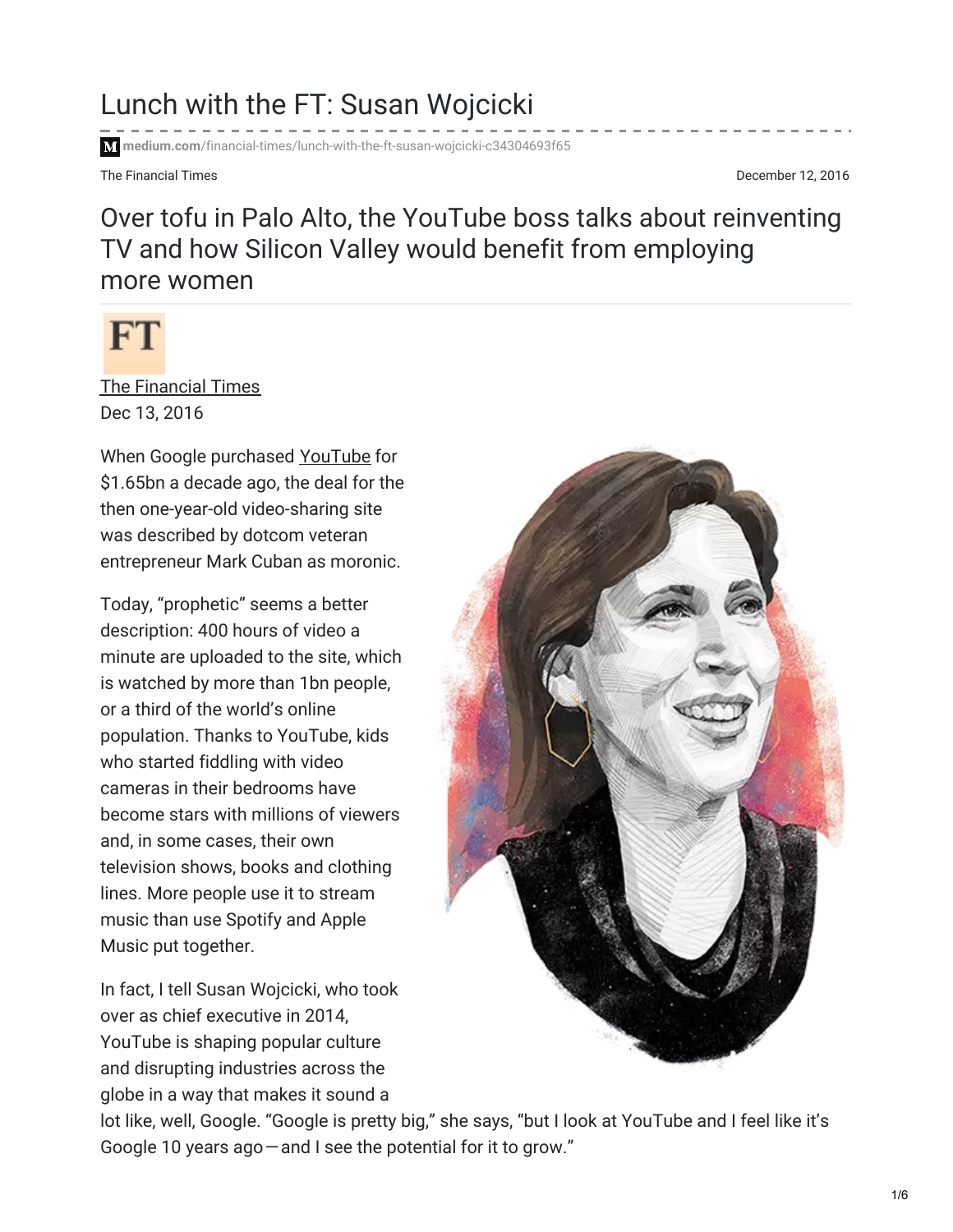## Lunch with the FT: Susan Wojcicki

**medium.com**[/financial-times/lunch-with-the-ft-susan-wojcicki-c34304693f65](https://medium.com/financial-times/lunch-with-the-ft-susan-wojcicki-c34304693f65)

The Financial Times **December 12, 2016** 

## Over tofu in Palo Alto, the YouTube boss talks about reinventing TV and how Silicon Valley would benefit from employing more women



The [Financial](https://medium.com/@Financial_Times) Times Dec 13, 2016

When Google purchased [YouTube](http://www.ft.com/intl/topics/organisations/YouTube_Inc) for \$1.65bn a decade ago, the deal for the then one-year-old video-sharing site was described by dotcom veteran entrepreneur Mark Cuban as moronic.

Today, "prophetic" seems a better description: 400 hours of video a minute are uploaded to the site, which is watched by more than 1bn people, or a third of the world's online population. Thanks to YouTube, kids who started fiddling with video cameras in their bedrooms have become stars with millions of viewers and, in some cases, their own television shows, books and clothing lines. More people use it to stream music than use Spotify and Apple Music put together.

In fact, I tell Susan Wojcicki, who took over as chief executive in 2014, YouTube is shaping popular culture and disrupting industries across the globe in a way that makes it sound a



lot like, well, Google. "Google is pretty big," she says, "but I look at YouTube and I feel like it's Google 10 years ago—and I see the potential for it to grow."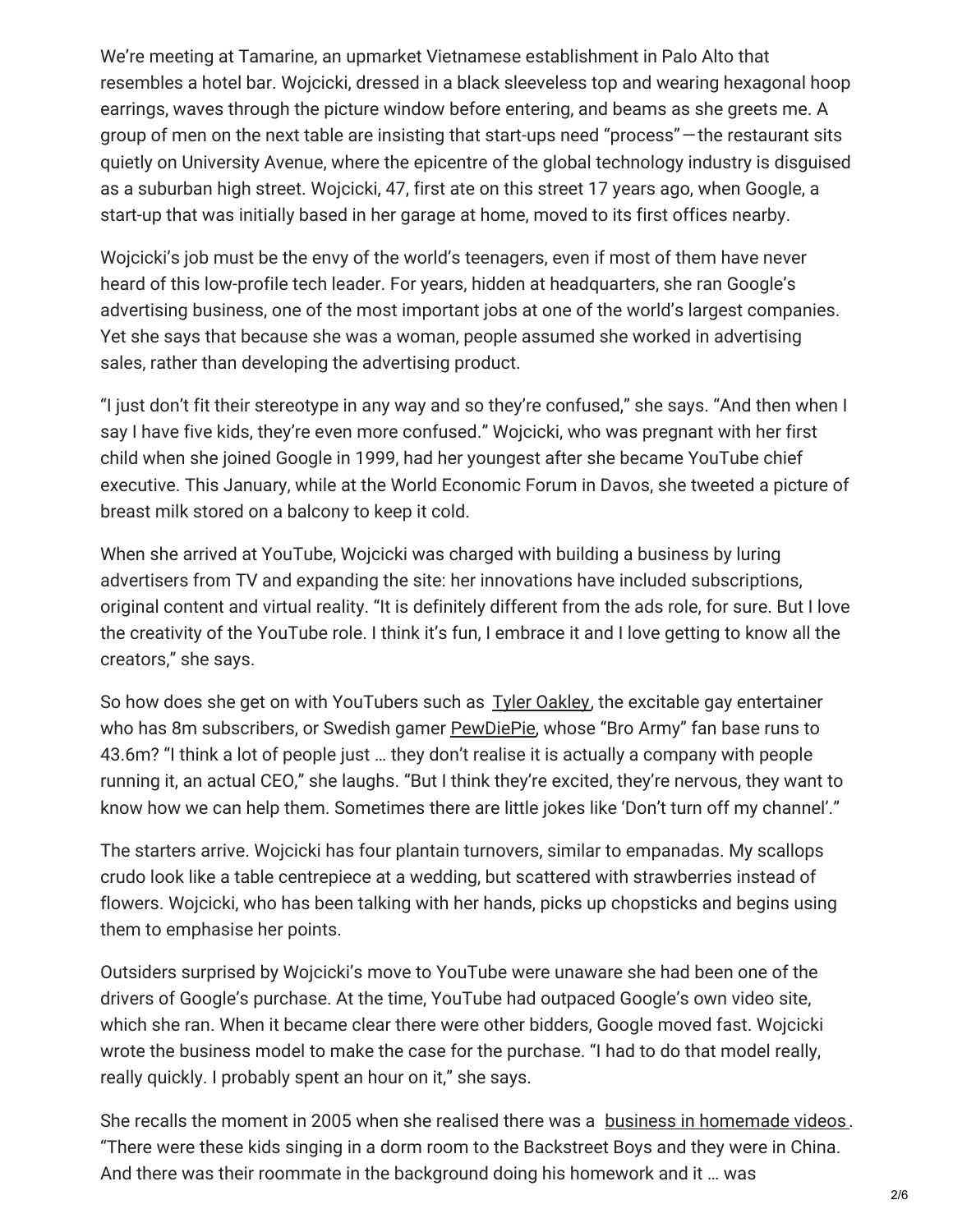We're meeting at Tamarine, an upmarket Vietnamese establishment in Palo Alto that resembles a hotel bar. Wojcicki, dressed in a black sleeveless top and wearing hexagonal hoop earrings, waves through the picture window before entering, and beams as she greets me. A group of men on the next table are insisting that start-ups need "process"—the restaurant sits quietly on University Avenue, where the epicentre of the global technology industry is disguised as a suburban high street. Wojcicki, 47, first ate on this street 17 years ago, when Google, a start-up that was initially based in her garage at home, moved to its first offices nearby.

Wojcicki's job must be the envy of the world's teenagers, even if most of them have never heard of this low-profile tech leader. For years, hidden at headquarters, she ran Google's advertising business, one of the most important jobs at one of the world's largest companies. Yet she says that because she was a woman, people assumed she worked in advertising sales, rather than developing the advertising product.

"I just don't fit their stereotype in any way and so they're confused," she says. "And then when I say I have five kids, they're even more confused." Wojcicki, who was pregnant with her first child when she joined Google in 1999, had her youngest after she became YouTube chief executive. This January, while at the World Economic Forum in Davos, she tweeted a picture of breast milk stored on a balcony to keep it cold.

When she arrived at YouTube, Wojcicki was charged with building a business by luring advertisers from TV and expanding the site: her innovations have included subscriptions, original content and virtual reality. "It is definitely different from the ads role, for sure. But I love the creativity of the YouTube role. I think it's fun, I embrace it and I love getting to know all the creators," she says.

So how does she get on with YouTubers such as Tyler [Oakley](https://www.youtube.com/user/tyleroakley/featured), the excitable gay entertainer who has 8m subscribers, or Swedish gamer [PewDiePie](https://www.youtube.com/user/PewDiePie?gl=GB&hl=en-GB), whose "Bro Army" fan base runs to 43.6m? "I think a lot of people just … they don't realise it is actually a company with people running it, an actual CEO," she laughs. "But I think they're excited, they're nervous, they want to know how we can help them. Sometimes there are little jokes like 'Don't turn off my channel'."

The starters arrive. Wojcicki has four plantain turnovers, similar to empanadas. My scallops crudo look like a table centrepiece at a wedding, but scattered with strawberries instead of flowers. Wojcicki, who has been talking with her hands, picks up chopsticks and begins using them to emphasise her points.

Outsiders surprised by Wojcicki's move to YouTube were unaware she had been one of the drivers of Google's purchase. At the time, YouTube had outpaced Google's own video site, which she ran. When it became clear there were other bidders, Google moved fast. Wojcicki wrote the business model to make the case for the purchase. "I had to do that model really, really quickly. I probably spent an hour on it," she says.

She recalls the moment in 2005 when she realised there was a business in [homemade](http://video.ft.com/4428543026001/YouTube-stars-get-down-to-business/Companies) videos . "There were these kids singing in a dorm room to the Backstreet Boys and they were in China. And there was their roommate in the background doing his homework and it … was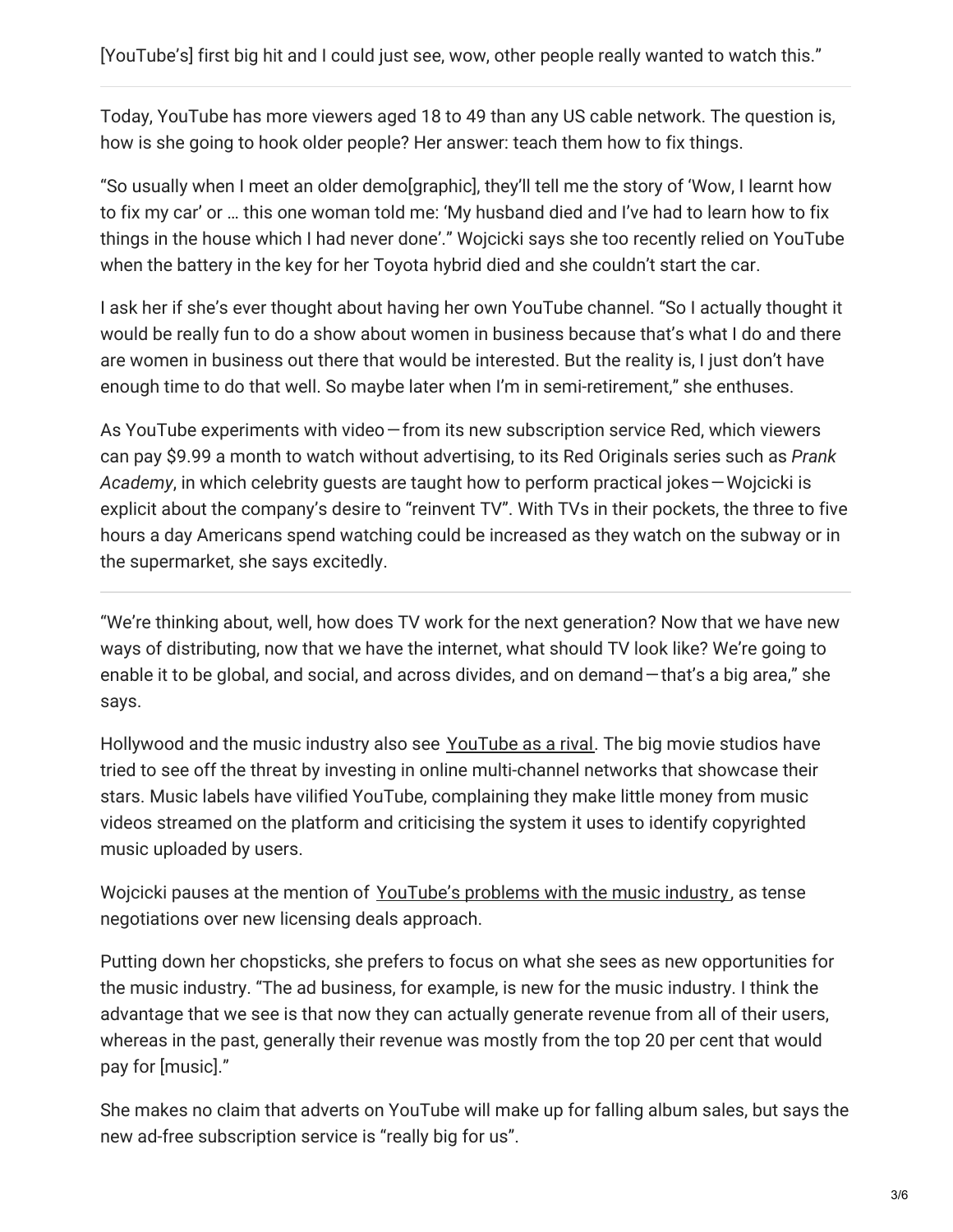Today, YouTube has more viewers aged 18 to 49 than any US cable network. The question is, how is she going to hook older people? Her answer: teach them how to fix things.

"So usually when I meet an older demo[graphic], they'll tell me the story of 'Wow, I learnt how to fix my car' or … this one woman told me: 'My husband died and I've had to learn how to fix things in the house which I had never done'." Wojcicki says she too recently relied on YouTube when the battery in the key for her Toyota hybrid died and she couldn't start the car.

I ask her if she's ever thought about having her own YouTube channel. "So I actually thought it would be really fun to do a show about women in business because that's what I do and there are women in business out there that would be interested. But the reality is, I just don't have enough time to do that well. So maybe later when I'm in semi-retirement," she enthuses.

As YouTube experiments with video—from its new subscription service Red, which viewers can pay \$9.99 a month to watch without advertising, to its Red Originals series such as *Prank Academy*, in which celebrity guests are taught how to perform practical jokes—Wojcicki is explicit about the company's desire to "reinvent TV". With TVs in their pockets, the three to five hours a day Americans spend watching could be increased as they watch on the subway or in the supermarket, she says excitedly.

"We're thinking about, well, how does TV work for the next generation? Now that we have new ways of distributing, now that we have the internet, what should TV look like? We're going to enable it to be global, and social, and across divides, and on demand—that's a big area," she says.

Hollywood and the music industry also see [YouTube](https://www.ft.com/content/14d65f90-08bc-11e6-a623-b84d06a39ec2) as a rival. The big movie studios have tried to see off the threat by investing in online multi-channel networks that showcase their stars. Music labels have vilified YouTube, complaining they make little money from music videos streamed on the platform and criticising the system it uses to identify copyrighted music uploaded by users.

Wojcicki pauses at the mention of [YouTube's](https://www.ft.com/content/14d65f90-08bc-11e6-a623-b84d06a39ec2) problems with the music industry, as tense negotiations over new licensing deals approach.

Putting down her chopsticks, she prefers to focus on what she sees as new opportunities for the music industry. "The ad business, for example, is new for the music industry. I think the advantage that we see is that now they can actually generate revenue from all of their users, whereas in the past, generally their revenue was mostly from the top 20 per cent that would pay for [music]."

She makes no claim that adverts on YouTube will make up for falling album sales, but says the new ad-free subscription service is "really big for us".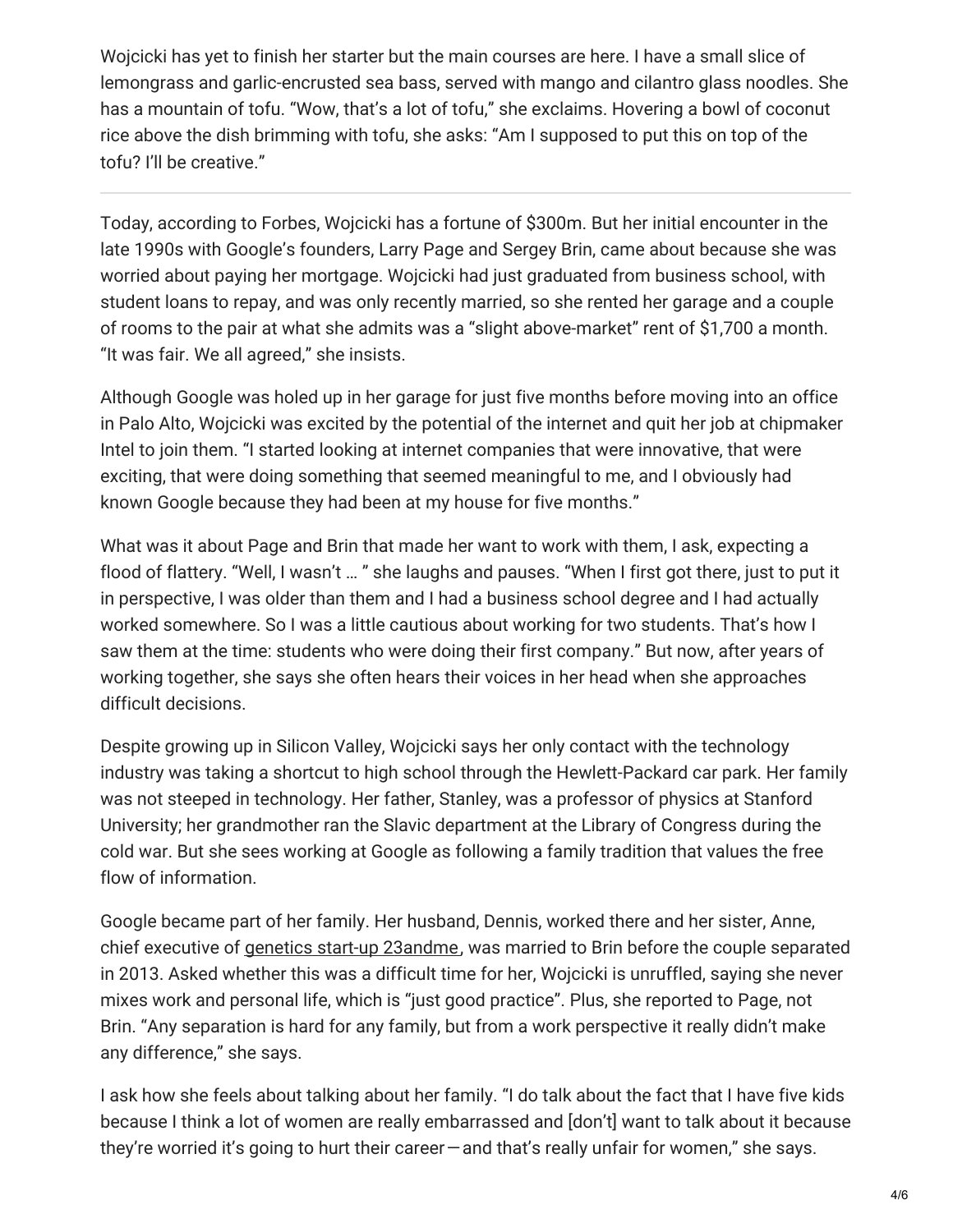Wojcicki has yet to finish her starter but the main courses are here. I have a small slice of lemongrass and garlic-encrusted sea bass, served with mango and cilantro glass noodles. She has a mountain of tofu. "Wow, that's a lot of tofu," she exclaims. Hovering a bowl of coconut rice above the dish brimming with tofu, she asks: "Am I supposed to put this on top of the tofu? I'll be creative."

Today, according to Forbes, Wojcicki has a fortune of \$300m. But her initial encounter in the late 1990s with Google's founders, Larry Page and Sergey Brin, came about because she was worried about paying her mortgage. Wojcicki had just graduated from business school, with student loans to repay, and was only recently married, so she rented her garage and a couple of rooms to the pair at what she admits was a "slight above-market" rent of \$1,700 a month. "It was fair. We all agreed," she insists.

Although Google was holed up in her garage for just five months before moving into an office in Palo Alto, Wojcicki was excited by the potential of the internet and quit her job at chipmaker Intel to join them. "I started looking at internet companies that were innovative, that were exciting, that were doing something that seemed meaningful to me, and I obviously had known Google because they had been at my house for five months."

What was it about Page and Brin that made her want to work with them, I ask, expecting a flood of flattery. "Well, I wasn't … " she laughs and pauses. "When I first got there, just to put it in perspective, I was older than them and I had a business school degree and I had actually worked somewhere. So I was a little cautious about working for two students. That's how I saw them at the time: students who were doing their first company." But now, after years of working together, she says she often hears their voices in her head when she approaches difficult decisions.

Despite growing up in Silicon Valley, Wojcicki says her only contact with the technology industry was taking a shortcut to high school through the Hewlett-Packard car park. Her family was not steeped in technology. Her father, Stanley, was a professor of physics at Stanford University; her grandmother ran the Slavic department at the Library of Congress during the cold war. But she sees working at Google as following a family tradition that values the free flow of information.

Google became part of her family. Her husband, Dennis, worked there and her sister, Anne, chief executive of genetics start-up [23andme](https://www.ft.com/content/77d0723a-047a-11e5-a5c3-00144feabdc0), was married to Brin before the couple separated in 2013. Asked whether this was a difficult time for her, Wojcicki is unruffled, saying she never mixes work and personal life, which is "just good practice". Plus, she reported to Page, not Brin. "Any separation is hard for any family, but from a work perspective it really didn't make any difference," she says.

I ask how she feels about talking about her family. "I do talk about the fact that I have five kids because I think a lot of women are really embarrassed and [don't] want to talk about it because they're worried it's going to hurt their career—and that's really unfair for women," she says.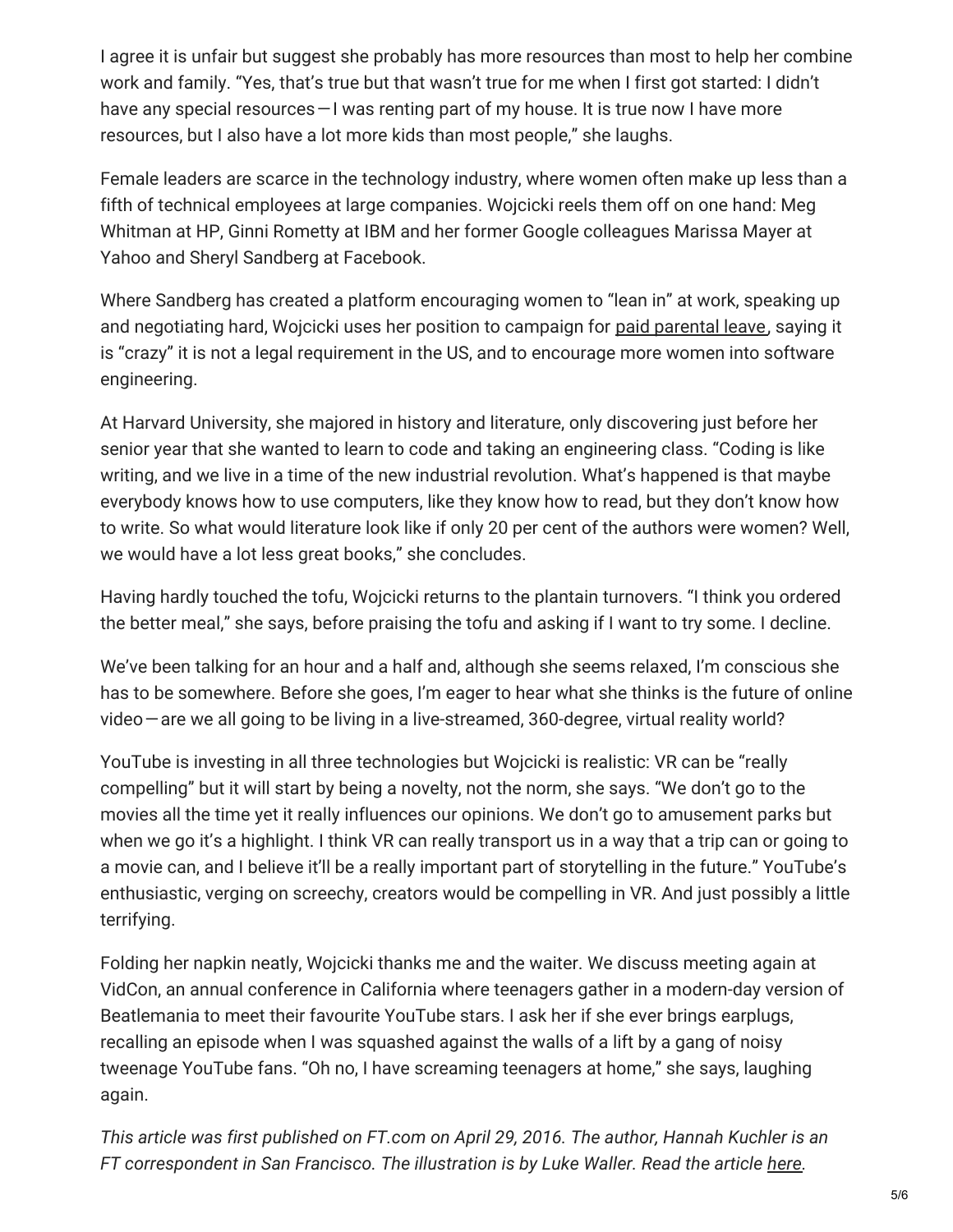I agree it is unfair but suggest she probably has more resources than most to help her combine work and family. "Yes, that's true but that wasn't true for me when I first got started: I didn't have any special resources – I was renting part of my house. It is true now I have more resources, but I also have a lot more kids than most people," she laughs.

Female leaders are scarce in the technology industry, where women often make up less than a fifth of technical employees at large companies. Wojcicki reels them off on one hand: Meg Whitman at HP, Ginni Rometty at IBM and her former Google colleagues Marissa Mayer at Yahoo and Sheryl Sandberg at Facebook.

Where Sandberg has created a platform encouraging women to "lean in" at work, speaking up and negotiating hard, Wojcicki uses her position to campaign for paid [parental](https://www.ft.com/content/f3154b96-e0c5-11e5-8d9b-e88a2a889797) leave, saying it is "crazy" it is not a legal requirement in the US, and to encourage more women into software engineering.

At Harvard University, she majored in history and literature, only discovering just before her senior year that she wanted to learn to code and taking an engineering class. "Coding is like writing, and we live in a time of the new industrial revolution. What's happened is that maybe everybody knows how to use computers, like they know how to read, but they don't know how to write. So what would literature look like if only 20 per cent of the authors were women? Well, we would have a lot less great books," she concludes.

Having hardly touched the tofu, Wojcicki returns to the plantain turnovers. "I think you ordered the better meal," she says, before praising the tofu and asking if I want to try some. I decline.

We've been talking for an hour and a half and, although she seems relaxed, I'm conscious she has to be somewhere. Before she goes, I'm eager to hear what she thinks is the future of online video—are we all going to be living in a live-streamed, 360-degree, virtual reality world?

YouTube is investing in all three technologies but Wojcicki is realistic: VR can be "really compelling" but it will start by being a novelty, not the norm, she says. "We don't go to the movies all the time yet it really influences our opinions. We don't go to amusement parks but when we go it's a highlight. I think VR can really transport us in a way that a trip can or going to a movie can, and I believe it'll be a really important part of storytelling in the future." YouTube's enthusiastic, verging on screechy, creators would be compelling in VR. And just possibly a little terrifying.

Folding her napkin neatly, Wojcicki thanks me and the waiter. We discuss meeting again at VidCon, an annual conference in California where teenagers gather in a modern-day version of Beatlemania to meet their favourite YouTube stars. I ask her if she ever brings earplugs, recalling an episode when I was squashed against the walls of a lift by a gang of noisy tweenage YouTube fans. "Oh no, I have screaming teenagers at home," she says, laughing again.

*This article was first published on FT.com on April 29, 2016. The author, Hannah Kuchler is an FT correspondent in San Francisco. The illustration is by Luke Waller. Read the article [here](https://www.ft.com/content/e9a378b2-0c5d-11e6-9456-444ab5211a2f).*